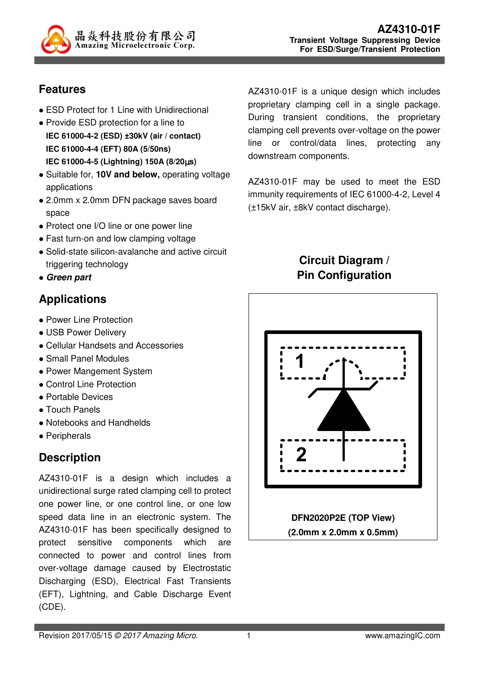

#### **Features**

- ESD Protect for 1 Line with Unidirectional
- Provide ESD protection for a line to
- **IEC 61000-4-2 (ESD) ±30kV (air / contact) IEC 61000-4-4 (EFT) 80A (5/50ns) IEC 61000-4-5 (Lightning) 150A (8/20**µ**s)**
- Suitable for, **10V and below,** operating voltage applications
- 2.0mm x 2.0mm DFN package saves board space
- Protect one I/O line or one power line
- Fast turn-on and low clamping voltage
- Solid-state silicon-avalanche and active circuit triggering technology
- **Green part**

## **Applications**

- Power Line Protection
- USB Power Delivery
- Cellular Handsets and Accessories
- Small Panel Modules
- Power Mangement System
- Control Line Protection
- Portable Devices
- Touch Panels
- Notebooks and Handhelds
- Peripherals

# **Description**

AZ4310-01F is a design which includes a unidirectional surge rated clamping cell to protect one power line, or one control line, or one low speed data line in an electronic system. The AZ4310-01F has been specifically designed to protect sensitive components which are connected to power and control lines from over-voltage damage caused by Electrostatic Discharging (ESD), Electrical Fast Transients (EFT), Lightning, and Cable Discharge Event (CDE).

AZ4310-01F is a unique design which includes proprietary clamping cell in a single package. During transient conditions, the proprietary clamping cell prevents over-voltage on the power line or control/data lines, protecting any downstream components.

AZ4310-01F may be used to meet the ESD immunity requirements of IEC 61000-4-2, Level 4 (±15kV air, ±8kV contact discharge).

#### **Circuit Diagram / Pin Configuration**

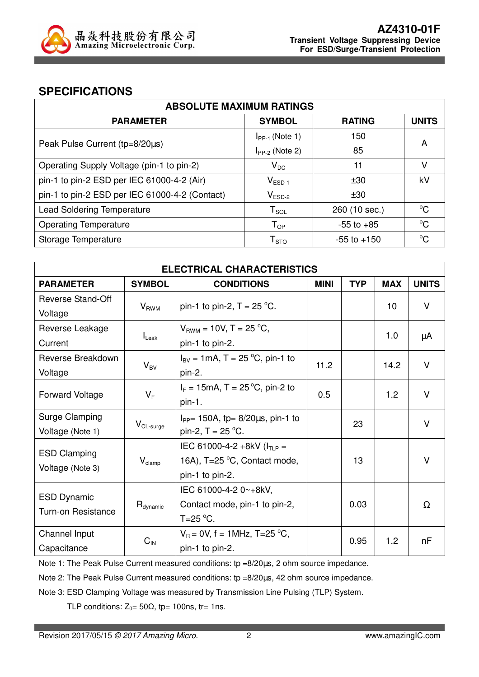

#### **SPECIFICATIONS**

| <b>ABSOLUTE MAXIMUM RATINGS</b>                |                            |                 |              |  |
|------------------------------------------------|----------------------------|-----------------|--------------|--|
| <b>PARAMETER</b>                               | <b>SYMBOL</b>              | <b>RATING</b>   | <b>UNITS</b> |  |
|                                                | $I_{PP-1}$ (Note 1)        | 150             | A            |  |
| Peak Pulse Current (tp=8/20µs)                 | $I_{PP-2}$ (Note 2)        | 85              |              |  |
| Operating Supply Voltage (pin-1 to pin-2)      | $V_{DC}$                   | 11              | V            |  |
| pin-1 to pin-2 ESD per IEC 61000-4-2 (Air)     | $V_{ESD-1}$                | $+30$           | kV           |  |
| pin-1 to pin-2 ESD per IEC 61000-4-2 (Contact) | $V_{ESD-2}$                | ±30             |              |  |
| <b>Lead Soldering Temperature</b>              | $T_{\textnormal{SOL}}$     | 260 (10 sec.)   | $^{\circ}C$  |  |
| <b>Operating Temperature</b>                   | $\mathsf{T}_{\mathsf{OP}}$ | $-55$ to $+85$  | $^{\circ}C$  |  |
| Storage Temperature                            | ${\sf T}_{\text{STO}}$     | $-55$ to $+150$ | $^{\circ}C$  |  |

| <b>ELECTRICAL CHARACTERISTICS</b>               |                                    |                                                                   |             |            |            |              |
|-------------------------------------------------|------------------------------------|-------------------------------------------------------------------|-------------|------------|------------|--------------|
| <b>PARAMETER</b>                                | <b>SYMBOL</b><br><b>CONDITIONS</b> |                                                                   | <b>MINI</b> | <b>TYP</b> | <b>MAX</b> | <b>UNITS</b> |
| Reverse Stand-Off                               | $V_{RWM}$                          | pin-1 to pin-2, $T = 25$ °C.                                      |             |            | 10         | V            |
| Voltage                                         |                                    |                                                                   |             |            |            |              |
| Reverse Leakage                                 |                                    | $V_{BWM}$ = 10V, T = 25 °C,                                       |             |            | 1.0        | μA           |
| Current                                         | $I_{\text{Leak}}$                  | pin-1 to pin-2.                                                   |             |            |            |              |
| Reverse Breakdown                               |                                    | $I_{\text{BV}} = 1 \text{mA}, T = 25 \text{ °C}, \text{pin-1 to}$ |             |            | 14.2       | $\vee$       |
| Voltage                                         | $V_{BV}$                           | pin-2.                                                            | 11.2        |            |            |              |
| <b>Forward Voltage</b>                          | $V_F$                              | $I_F = 15 \text{mA}$ , T = 25 °C, pin-2 to                        | 0.5         |            | 1.2        | V            |
|                                                 |                                    | $pin-1.$                                                          |             |            |            |              |
| Surge Clamping                                  | $V_{CL-surge}$                     | $I_{PP}$ = 150A, tp= 8/20 $\mu$ s, pin-1 to                       |             | 23         |            | $\vee$       |
| Voltage (Note 1)                                |                                    | pin-2, $T = 25 °C$ .                                              |             |            |            |              |
| <b>ESD Clamping</b>                             |                                    | IEC 61000-4-2 +8kV ( $I_{TLP}$ =                                  |             |            |            |              |
| Voltage (Note 3)                                | $V_{\text{clamp}}$                 | 16A), T=25 °C, Contact mode,                                      |             | 13         |            | $\vee$       |
|                                                 |                                    | pin-1 to pin-2.                                                   |             |            |            |              |
|                                                 |                                    | IEC 61000-4-2 0~+8kV,                                             |             |            |            |              |
| <b>ESD Dynamic</b><br><b>Turn-on Resistance</b> | $R_{\text{dynamic}}$               | Contact mode, pin-1 to pin-2,                                     |             | 0.03       |            | Ω            |
|                                                 |                                    | $T=25$ °C.                                                        |             |            |            |              |
| Channel Input                                   |                                    | $V_R = 0V$ , f = 1MHz, T=25 °C,                                   |             |            | 1.2        | nF           |
| Capacitance                                     | $C_{IN}$                           | pin-1 to pin-2.                                                   |             | 0.95       |            |              |

Note 1: The Peak Pulse Current measured conditions: tp =8/20us, 2 ohm source impedance.

Note 2: The Peak Pulse Current measured conditions: tp =8/20us, 42 ohm source impedance.

Note 3: ESD Clamping Voltage was measured by Transmission Line Pulsing (TLP) System.

TLP conditions:  $Z_0 = 50\Omega$ , tp= 100ns, tr= 1ns.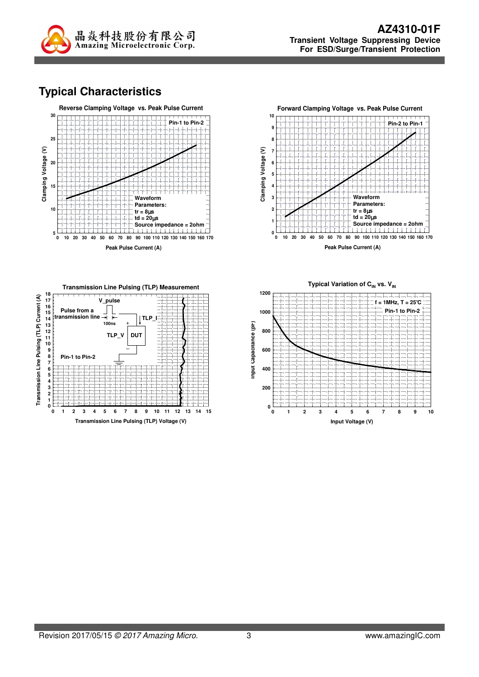

### **Typical Characteristics**





**Peak Pulse Current (A)**



Typical Variation of C<sub>IN</sub> vs. V<sub>IN</sub> **1200 f = 1MHz, T = 25**°**C Pin-1 to Pin-21000** Input Capacitance (pr) **Input Capacitance (pF) 800 600 400**  $\overline{\phantom{0}}$ **200 0 0 1 2 3 4 5 6 7 8 9 10 Input Voltage (V)**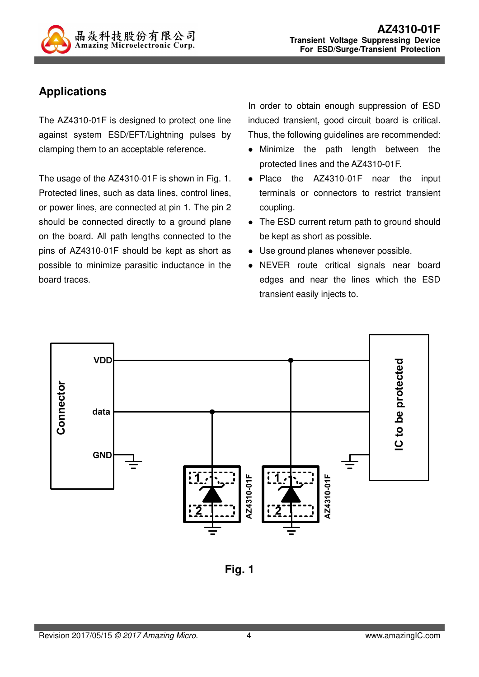

### **Applications**

The AZ4310-01F is designed to protect one line against system ESD/EFT/Lightning pulses by clamping them to an acceptable reference.

The usage of the AZ4310-01F is shown in Fig. 1. Protected lines, such as data lines, control lines, or power lines, are connected at pin 1. The pin 2 should be connected directly to a ground plane on the board. All path lengths connected to the pins of AZ4310-01F should be kept as short as possible to minimize parasitic inductance in the board traces.

In order to obtain enough suppression of ESD induced transient, good circuit board is critical. Thus, the following guidelines are recommended:

- Minimize the path length between the protected lines and the AZ4310-01F.
- Place the AZ4310-01F near the input terminals or connectors to restrict transient coupling.
- The ESD current return path to ground should be kept as short as possible.
- Use ground planes whenever possible.
- NEVER route critical signals near board edges and near the lines which the ESD transient easily injects to.



**Fig. 1**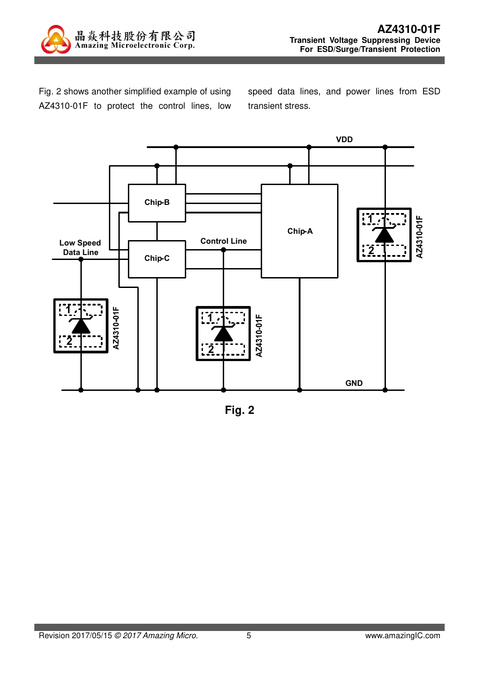

Fig. 2 shows another simplified example of using AZ4310-01F to protect the control lines, low speed data lines, and power lines from ESD transient stress.



**Fig. 2**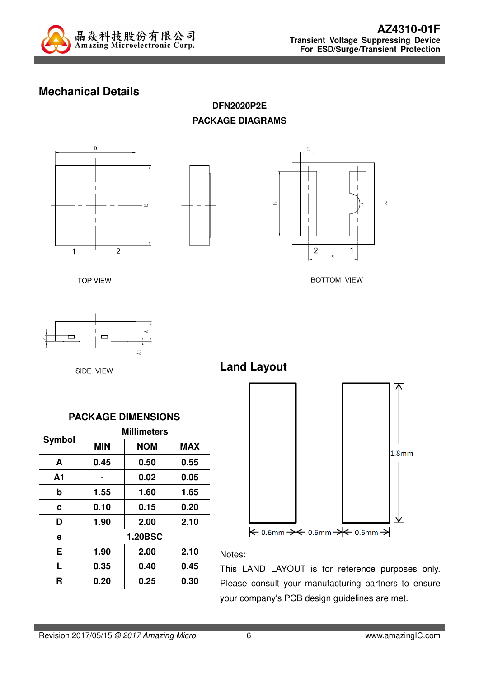

### **Mechanical Details**

**DFN2020P2E PACKAGE DIAGRAMS** 







**BOTTOM VIEW** 

**TOP VIEW** 

 $\Box$  $_{\rm A1}$ 

SIDE VIEW



**Land Layout**





Notes:

This LAND LAYOUT is for reference purposes only. Please consult your manufacturing partners to ensure your company's PCB design guidelines are met.